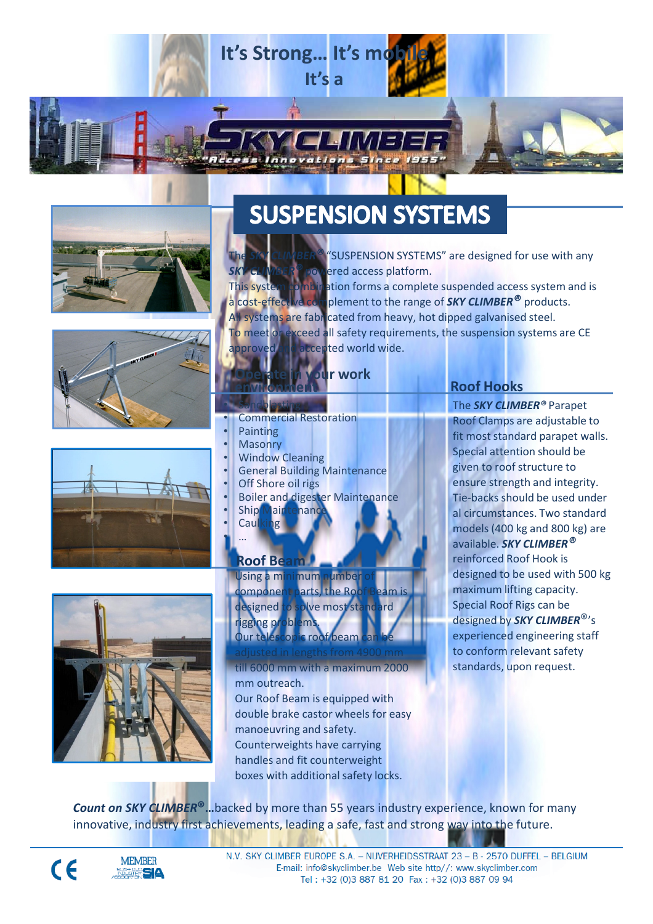









# **SUSPENSION SYSTEMS**

'SUSPENSION SYSTEMS" are designed for use with any **BOWered access platform.** 

This system combination forms a complete suspended access system and is This systems principation forms a complete suspended decess systems. All systems are fabricated from heavy, hot dipped galvanised steel.

To meet or exceed all safety requirements, the suspension systems are CE approved and accepted world wide.

### **Ur work** environment

- Sandblasting • Commercial Restoration
- Painting
- **Masonry**
- **Window Cleaning**
- General Building Maintenance
- **Off Shore oil rigs**
- Boiler and digester Maintenance
- **Ship Maintenand**
- **Caulking** • …

### Roof Beam

Using a minimum number o component parts, the Roof Beam is designed to solve most standard rigging problems. Our telescopic roof beam

till 6000 mm with a maximum 2000 mm outreach. Our Roof Beam is equipped with double brake castor wheels for easy manoeuvring and safety. Counterweights have carrying handles and fit counterweight

Roof Hooks

The **SKY CLIMBER<sup>®</sup> Parapet** Roof Clamps are adjustable to fit most standard parapet walls. Special attention should be given to roof structure to ensure strength and integrity. Tie-backs should be used under al circumstances. Two standard models (400 kg and 800 kg) are available. **SKY CLIMBER<sup>®</sup>** reinforced Roof Hook is designed to be used with 500 kg maximum lifting capacity. Special Roof Rigs can be designed by **SKY CLIMBER**<sup>®</sup>'s experienced engineering staff to conform relevant safety standards, upon request.

Count on SKY CLIMBER®…backed by more than 55 years industry experience, known for many innovative, industry first achievements, leading a safe, fast and strong way into the future.

boxes with additional safety locks.